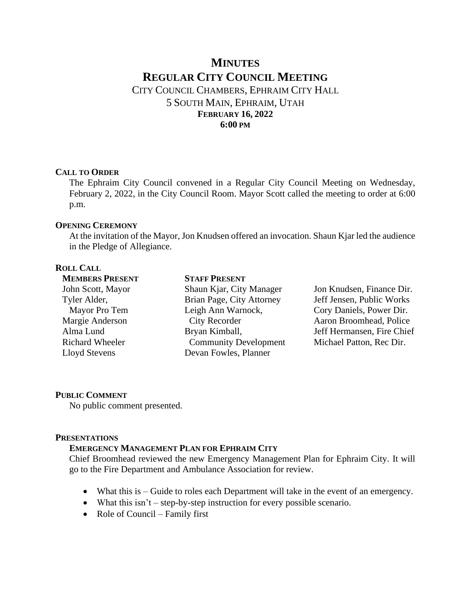# **MINUTES REGULAR CITY COUNCIL MEETING** CITY COUNCIL CHAMBERS, EPHRAIM CITY HALL 5 SOUTH MAIN, EPHRAIM, UTAH **FEBRUARY 16, 2022 6:00 PM**

#### **CALL TO ORDER**

The Ephraim City Council convened in a Regular City Council Meeting on Wednesday, February 2, 2022, in the City Council Room. Mayor Scott called the meeting to order at 6:00 p.m.

# **OPENING CEREMONY**

At the invitation of the Mayor, Jon Knudsen offered an invocation. Shaun Kjar led the audience in the Pledge of Allegiance.

# **ROLL CALL**

| <b>MEMBERS PRESENT</b> | <b>STAFF PRESENT</b>         |                            |
|------------------------|------------------------------|----------------------------|
| John Scott, Mayor      | Shaun Kjar, City Manager     | Jon Knudsen, Finance Dir.  |
| Tyler Alder,           | Brian Page, City Attorney    | Jeff Jensen, Public Works  |
| Mayor Pro Tem          | Leigh Ann Warnock,           | Cory Daniels, Power Dir.   |
| Margie Anderson        | <b>City Recorder</b>         | Aaron Broomhead, Police    |
| Alma Lund              | Bryan Kimball,               | Jeff Hermansen, Fire Chief |
| <b>Richard Wheeler</b> | <b>Community Development</b> | Michael Patton, Rec Dir.   |
| Lloyd Stevens          | Devan Fowles, Planner        |                            |
|                        |                              |                            |

# **PUBLIC COMMENT**

No public comment presented.

# **PRESENTATIONS**

# **EMERGENCY MANAGEMENT PLAN FOR EPHRAIM CITY**

Chief Broomhead reviewed the new Emergency Management Plan for Ephraim City. It will go to the Fire Department and Ambulance Association for review.

- What this is Guide to roles each Department will take in the event of an emergency.
- What this isn't step-by-step instruction for every possible scenario.
- Role of Council Family first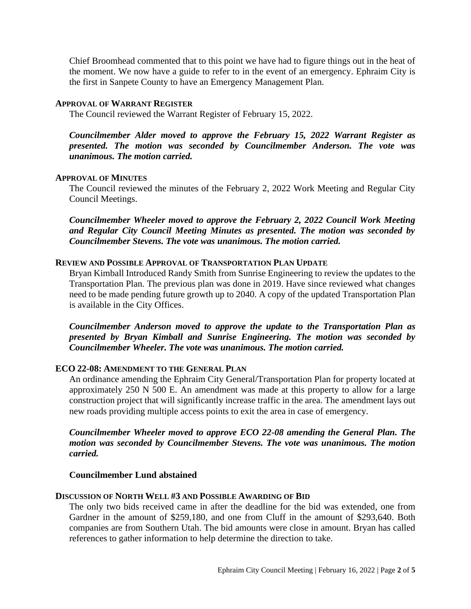Chief Broomhead commented that to this point we have had to figure things out in the heat of the moment. We now have a guide to refer to in the event of an emergency. Ephraim City is the first in Sanpete County to have an Emergency Management Plan.

# **APPROVAL OF WARRANT REGISTER**

The Council reviewed the Warrant Register of February 15, 2022.

*Councilmember Alder moved to approve the February 15, 2022 Warrant Register as presented. The motion was seconded by Councilmember Anderson. The vote was unanimous. The motion carried.*

# **APPROVAL OF MINUTES**

The Council reviewed the minutes of the February 2, 2022 Work Meeting and Regular City Council Meetings.

*Councilmember Wheeler moved to approve the February 2, 2022 Council Work Meeting and Regular City Council Meeting Minutes as presented. The motion was seconded by Councilmember Stevens. The vote was unanimous. The motion carried.*

# **REVIEW AND POSSIBLE APPROVAL OF TRANSPORTATION PLAN UPDATE**

Bryan Kimball Introduced Randy Smith from Sunrise Engineering to review the updates to the Transportation Plan. The previous plan was done in 2019. Have since reviewed what changes need to be made pending future growth up to 2040. A copy of the updated Transportation Plan is available in the City Offices.

*Councilmember Anderson moved to approve the update to the Transportation Plan as presented by Bryan Kimball and Sunrise Engineering. The motion was seconded by Councilmember Wheeler. The vote was unanimous. The motion carried.*

# **ECO 22-08: AMENDMENT TO THE GENERAL PLAN**

An ordinance amending the Ephraim City General/Transportation Plan for property located at approximately 250 N 500 E. An amendment was made at this property to allow for a large construction project that will significantly increase traffic in the area. The amendment lays out new roads providing multiple access points to exit the area in case of emergency.

# *Councilmember Wheeler moved to approve ECO 22-08 amending the General Plan. The motion was seconded by Councilmember Stevens. The vote was unanimous. The motion carried.*

# **Councilmember Lund abstained**

# **DISCUSSION OF NORTH WELL #3 AND POSSIBLE AWARDING OF BID**

The only two bids received came in after the deadline for the bid was extended, one from Gardner in the amount of \$259,180, and one from Cluff in the amount of \$293,640. Both companies are from Southern Utah. The bid amounts were close in amount. Bryan has called references to gather information to help determine the direction to take.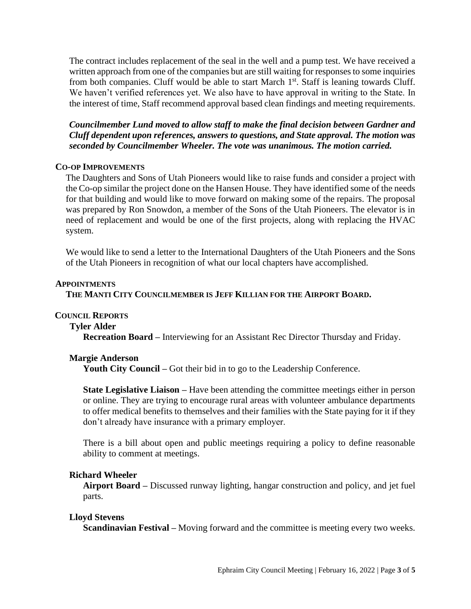The contract includes replacement of the seal in the well and a pump test. We have received a written approach from one of the companies but are still waiting for responses to some inquiries from both companies. Cluff would be able to start March  $1<sup>st</sup>$ . Staff is leaning towards Cluff. We haven't verified references yet. We also have to have approval in writing to the State. In the interest of time, Staff recommend approval based clean findings and meeting requirements.

*Councilmember Lund moved to allow staff to make the final decision between Gardner and Cluff dependent upon references, answers to questions, and State approval. The motion was seconded by Councilmember Wheeler. The vote was unanimous. The motion carried.*

# **CO-OP IMPROVEMENTS**

The Daughters and Sons of Utah Pioneers would like to raise funds and consider a project with the Co-op similar the project done on the Hansen House. They have identified some of the needs for that building and would like to move forward on making some of the repairs. The proposal was prepared by Ron Snowdon, a member of the Sons of the Utah Pioneers. The elevator is in need of replacement and would be one of the first projects, along with replacing the HVAC system.

We would like to send a letter to the International Daughters of the Utah Pioneers and the Sons of the Utah Pioneers in recognition of what our local chapters have accomplished.

# **APPOINTMENTS**

# **THE MANTI CITY COUNCILMEMBER IS JEFF KILLIAN FOR THE AIRPORT BOARD.**

# **COUNCIL REPORTS**

 **Tyler Alder**

**Recreation Board –** Interviewing for an Assistant Rec Director Thursday and Friday.

# **Margie Anderson**

**Youth City Council –** Got their bid in to go to the Leadership Conference.

**State Legislative Liaison –** Have been attending the committee meetings either in person or online. They are trying to encourage rural areas with volunteer ambulance departments to offer medical benefits to themselves and their families with the State paying for it if they don't already have insurance with a primary employer.

There is a bill about open and public meetings requiring a policy to define reasonable ability to comment at meetings.

# **Richard Wheeler**

**Airport Board –** Discussed runway lighting, hangar construction and policy, and jet fuel parts.

# **Lloyd Stevens**

**Scandinavian Festival –** Moving forward and the committee is meeting every two weeks.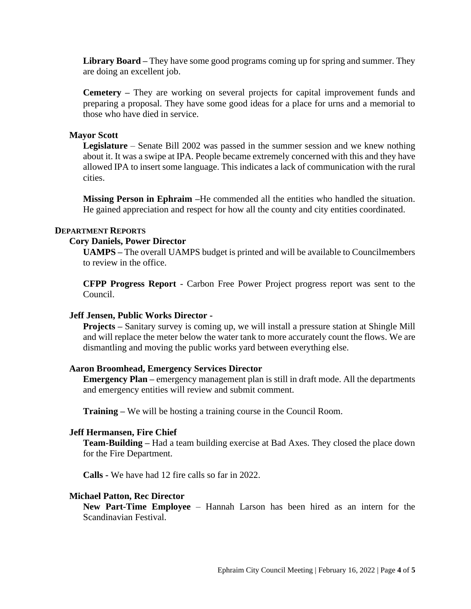**Library Board –** They have some good programs coming up for spring and summer. They are doing an excellent job.

**Cemetery –** They are working on several projects for capital improvement funds and preparing a proposal. They have some good ideas for a place for urns and a memorial to those who have died in service.

# **Mayor Scott**

**Legislature** – Senate Bill 2002 was passed in the summer session and we knew nothing about it. It was a swipe at IPA. People became extremely concerned with this and they have allowed IPA to insert some language. This indicates a lack of communication with the rural cities.

**Missing Person in Ephraim –**He commended all the entities who handled the situation. He gained appreciation and respect for how all the county and city entities coordinated.

# **DEPARTMENT REPORTS**

#### **Cory Daniels, Power Director**

**UAMPS –** The overall UAMPS budget is printed and will be available to Councilmembers to review in the office.

**CFPP Progress Report** - Carbon Free Power Project progress report was sent to the Council.

# **Jeff Jensen, Public Works Director -**

**Projects –** Sanitary survey is coming up, we will install a pressure station at Shingle Mill and will replace the meter below the water tank to more accurately count the flows. We are dismantling and moving the public works yard between everything else.

#### **Aaron Broomhead, Emergency Services Director**

**Emergency Plan –** emergency management plan is still in draft mode. All the departments and emergency entities will review and submit comment.

**Training –** We will be hosting a training course in the Council Room.

#### **Jeff Hermansen, Fire Chief**

**Team-Building –** Had a team building exercise at Bad Axes. They closed the place down for the Fire Department.

**Calls -** We have had 12 fire calls so far in 2022.

#### **Michael Patton, Rec Director**

**New Part-Time Employee** – Hannah Larson has been hired as an intern for the Scandinavian Festival.